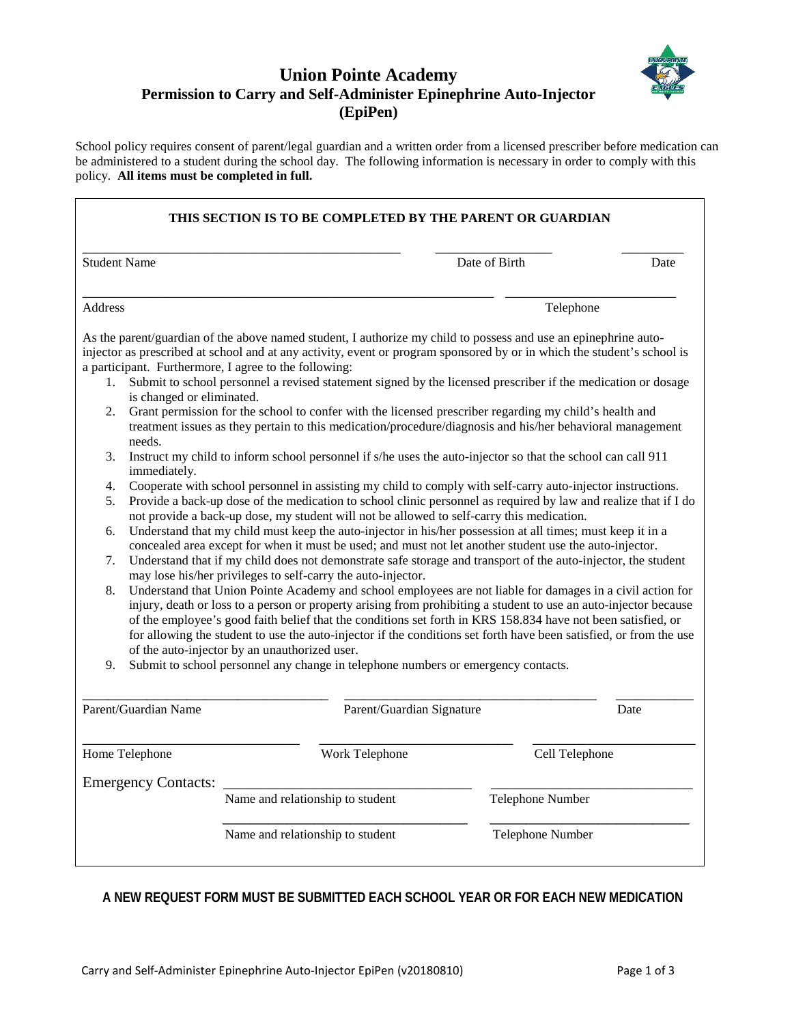

## **Union Pointe Academy Permission to Carry and Self-Administer Epinephrine Auto-Injector (EpiPen)**

School policy requires consent of parent/legal guardian and a written order from a licensed prescriber before medication can be administered to a student during the school day. The following information is necessary in order to comply with this policy. **All items must be completed in full.**

| THIS SECTION IS TO BE COMPLETED BY THE PARENT OR GUARDIAN                                                                                                          |                                                                                                                                                                                                                                                                                                                                                                                                                                                                                                                                                                                                                                                                                                                                                                                                                                                                                                                                                                                                                                                                                                                                                                                                                                                                                                                                                                                                                                                                                                                                                                                                                                                                                                                                                                                                                                                                                                                                                                                                                                                         |                  |      |  |
|--------------------------------------------------------------------------------------------------------------------------------------------------------------------|---------------------------------------------------------------------------------------------------------------------------------------------------------------------------------------------------------------------------------------------------------------------------------------------------------------------------------------------------------------------------------------------------------------------------------------------------------------------------------------------------------------------------------------------------------------------------------------------------------------------------------------------------------------------------------------------------------------------------------------------------------------------------------------------------------------------------------------------------------------------------------------------------------------------------------------------------------------------------------------------------------------------------------------------------------------------------------------------------------------------------------------------------------------------------------------------------------------------------------------------------------------------------------------------------------------------------------------------------------------------------------------------------------------------------------------------------------------------------------------------------------------------------------------------------------------------------------------------------------------------------------------------------------------------------------------------------------------------------------------------------------------------------------------------------------------------------------------------------------------------------------------------------------------------------------------------------------------------------------------------------------------------------------------------------------|------------------|------|--|
| <b>Student Name</b>                                                                                                                                                |                                                                                                                                                                                                                                                                                                                                                                                                                                                                                                                                                                                                                                                                                                                                                                                                                                                                                                                                                                                                                                                                                                                                                                                                                                                                                                                                                                                                                                                                                                                                                                                                                                                                                                                                                                                                                                                                                                                                                                                                                                                         | Date of Birth    | Date |  |
| <b>Address</b>                                                                                                                                                     |                                                                                                                                                                                                                                                                                                                                                                                                                                                                                                                                                                                                                                                                                                                                                                                                                                                                                                                                                                                                                                                                                                                                                                                                                                                                                                                                                                                                                                                                                                                                                                                                                                                                                                                                                                                                                                                                                                                                                                                                                                                         | Telephone        |      |  |
| a participant. Furthermore, I agree to the following:<br>1.<br>is changed or eliminated.<br>2.<br>needs.<br>3.<br>immediately.<br>4.<br>5.<br>6.<br>7.<br>8.<br>9. | As the parent/guardian of the above named student, I authorize my child to possess and use an epinephrine auto-<br>injector as prescribed at school and at any activity, event or program sponsored by or in which the student's school is<br>Submit to school personnel a revised statement signed by the licensed prescriber if the medication or dosage<br>Grant permission for the school to confer with the licensed prescriber regarding my child's health and<br>treatment issues as they pertain to this medication/procedure/diagnosis and his/her behavioral management<br>Instruct my child to inform school personnel if s/he uses the auto-injector so that the school can call 911<br>Cooperate with school personnel in assisting my child to comply with self-carry auto-injector instructions.<br>Provide a back-up dose of the medication to school clinic personnel as required by law and realize that if I do<br>not provide a back-up dose, my student will not be allowed to self-carry this medication.<br>Understand that my child must keep the auto-injector in his/her possession at all times; must keep it in a<br>concealed area except for when it must be used; and must not let another student use the auto-injector.<br>Understand that if my child does not demonstrate safe storage and transport of the auto-injector, the student<br>may lose his/her privileges to self-carry the auto-injector.<br>Understand that Union Pointe Academy and school employees are not liable for damages in a civil action for<br>injury, death or loss to a person or property arising from prohibiting a student to use an auto-injector because<br>of the employee's good faith belief that the conditions set forth in KRS 158.834 have not been satisfied, or<br>for allowing the student to use the auto-injector if the conditions set forth have been satisfied, or from the use<br>of the auto-injector by an unauthorized user.<br>Submit to school personnel any change in telephone numbers or emergency contacts. |                  |      |  |
| Parent/Guardian Name                                                                                                                                               | Parent/Guardian Signature                                                                                                                                                                                                                                                                                                                                                                                                                                                                                                                                                                                                                                                                                                                                                                                                                                                                                                                                                                                                                                                                                                                                                                                                                                                                                                                                                                                                                                                                                                                                                                                                                                                                                                                                                                                                                                                                                                                                                                                                                               |                  | Date |  |
| Home Telephone                                                                                                                                                     | Work Telephone                                                                                                                                                                                                                                                                                                                                                                                                                                                                                                                                                                                                                                                                                                                                                                                                                                                                                                                                                                                                                                                                                                                                                                                                                                                                                                                                                                                                                                                                                                                                                                                                                                                                                                                                                                                                                                                                                                                                                                                                                                          | Cell Telephone   |      |  |
| <b>Emergency Contacts:</b>                                                                                                                                         |                                                                                                                                                                                                                                                                                                                                                                                                                                                                                                                                                                                                                                                                                                                                                                                                                                                                                                                                                                                                                                                                                                                                                                                                                                                                                                                                                                                                                                                                                                                                                                                                                                                                                                                                                                                                                                                                                                                                                                                                                                                         |                  |      |  |
|                                                                                                                                                                    | Name and relationship to student                                                                                                                                                                                                                                                                                                                                                                                                                                                                                                                                                                                                                                                                                                                                                                                                                                                                                                                                                                                                                                                                                                                                                                                                                                                                                                                                                                                                                                                                                                                                                                                                                                                                                                                                                                                                                                                                                                                                                                                                                        | Telephone Number |      |  |
|                                                                                                                                                                    | Name and relationship to student                                                                                                                                                                                                                                                                                                                                                                                                                                                                                                                                                                                                                                                                                                                                                                                                                                                                                                                                                                                                                                                                                                                                                                                                                                                                                                                                                                                                                                                                                                                                                                                                                                                                                                                                                                                                                                                                                                                                                                                                                        |                  |      |  |

## **A NEW REQUEST FORM MUST BE SUBMITTED EACH SCHOOL YEAR OR FOR EACH NEW MEDICATION**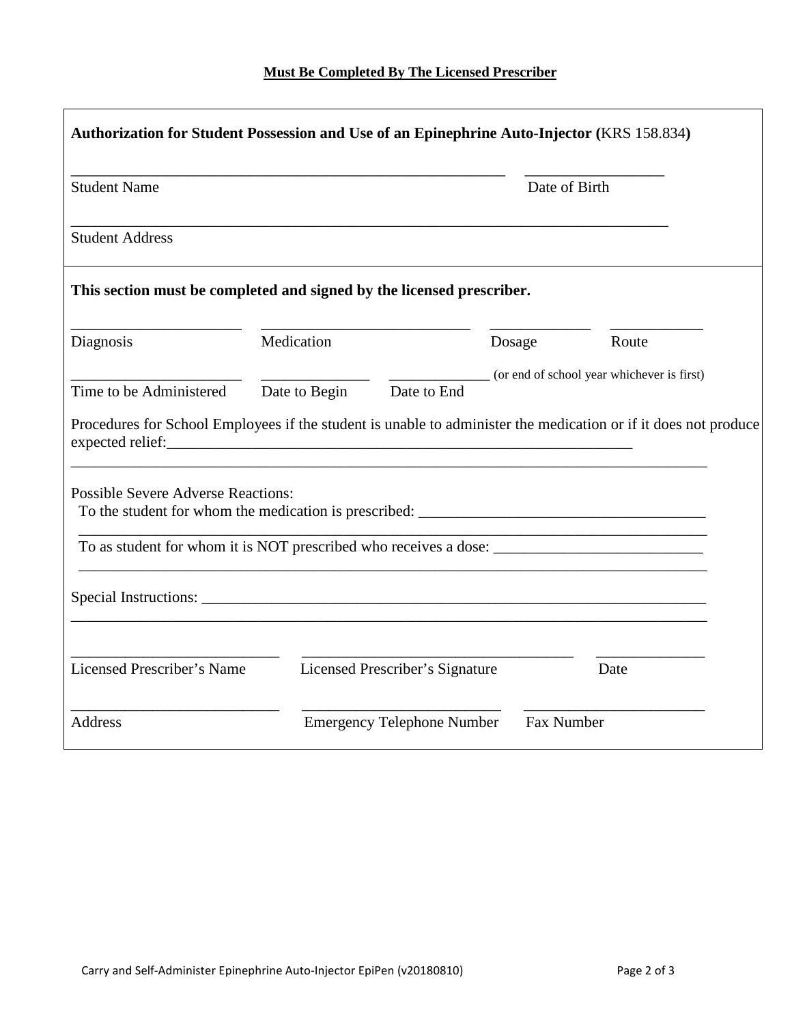| Authorization for Student Possession and Use of an Epinephrine Auto-Injector (KRS 158.834) |                                                                                                                 |               |                                            |  |
|--------------------------------------------------------------------------------------------|-----------------------------------------------------------------------------------------------------------------|---------------|--------------------------------------------|--|
| <b>Student Name</b>                                                                        |                                                                                                                 | Date of Birth |                                            |  |
| <b>Student Address</b>                                                                     |                                                                                                                 |               |                                            |  |
|                                                                                            | This section must be completed and signed by the licensed prescriber.                                           |               |                                            |  |
| Diagnosis                                                                                  | Medication                                                                                                      | Dosage        | Route                                      |  |
| Time to be Administered                                                                    | Date to End<br>Date to Begin                                                                                    |               | (or end of school year whichever is first) |  |
|                                                                                            | Procedures for School Employees if the student is unable to administer the medication or if it does not produce |               |                                            |  |
| <b>Possible Severe Adverse Reactions:</b>                                                  |                                                                                                                 |               |                                            |  |
|                                                                                            |                                                                                                                 |               |                                            |  |
|                                                                                            |                                                                                                                 |               |                                            |  |
| Licensed Prescriber's Name                                                                 | Licensed Prescriber's Signature                                                                                 |               | Date                                       |  |
| <b>Address</b>                                                                             | <b>Emergency Telephone Number</b>                                                                               | Fax Number    |                                            |  |